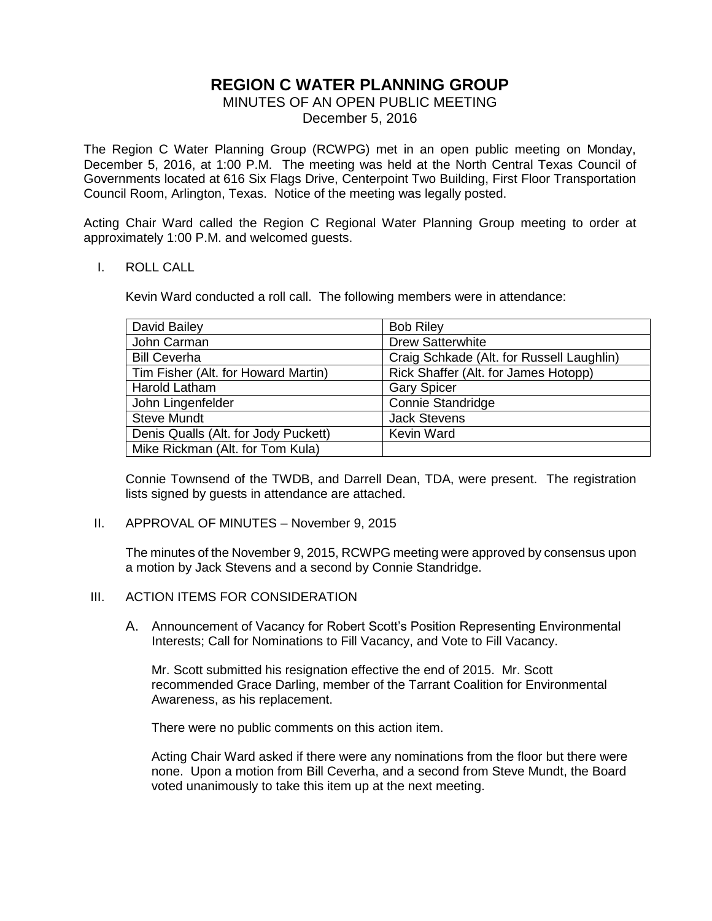# **REGION C WATER PLANNING GROUP**

MINUTES OF AN OPEN PUBLIC MEETING December 5, 2016

The Region C Water Planning Group (RCWPG) met in an open public meeting on Monday, December 5, 2016, at 1:00 P.M. The meeting was held at the North Central Texas Council of Governments located at 616 Six Flags Drive, Centerpoint Two Building, First Floor Transportation Council Room, Arlington, Texas. Notice of the meeting was legally posted.

Acting Chair Ward called the Region C Regional Water Planning Group meeting to order at approximately 1:00 P.M. and welcomed guests.

### I. ROLL CALL

Kevin Ward conducted a roll call. The following members were in attendance:

| <b>Bob Riley</b>                          |
|-------------------------------------------|
| <b>Drew Satterwhite</b>                   |
| Craig Schkade (Alt. for Russell Laughlin) |
| Rick Shaffer (Alt. for James Hotopp)      |
| <b>Gary Spicer</b>                        |
| <b>Connie Standridge</b>                  |
| <b>Jack Stevens</b>                       |
| Kevin Ward                                |
|                                           |
|                                           |

Connie Townsend of the TWDB, and Darrell Dean, TDA, were present. The registration lists signed by guests in attendance are attached.

#### II. APPROVAL OF MINUTES – November 9, 2015

The minutes of the November 9, 2015, RCWPG meeting were approved by consensus upon a motion by Jack Stevens and a second by Connie Standridge.

### III. ACTION ITEMS FOR CONSIDERATION

A. Announcement of Vacancy for Robert Scott's Position Representing Environmental Interests; Call for Nominations to Fill Vacancy, and Vote to Fill Vacancy.

Mr. Scott submitted his resignation effective the end of 2015. Mr. Scott recommended Grace Darling, member of the Tarrant Coalition for Environmental Awareness, as his replacement.

There were no public comments on this action item.

Acting Chair Ward asked if there were any nominations from the floor but there were none. Upon a motion from Bill Ceverha, and a second from Steve Mundt, the Board voted unanimously to take this item up at the next meeting.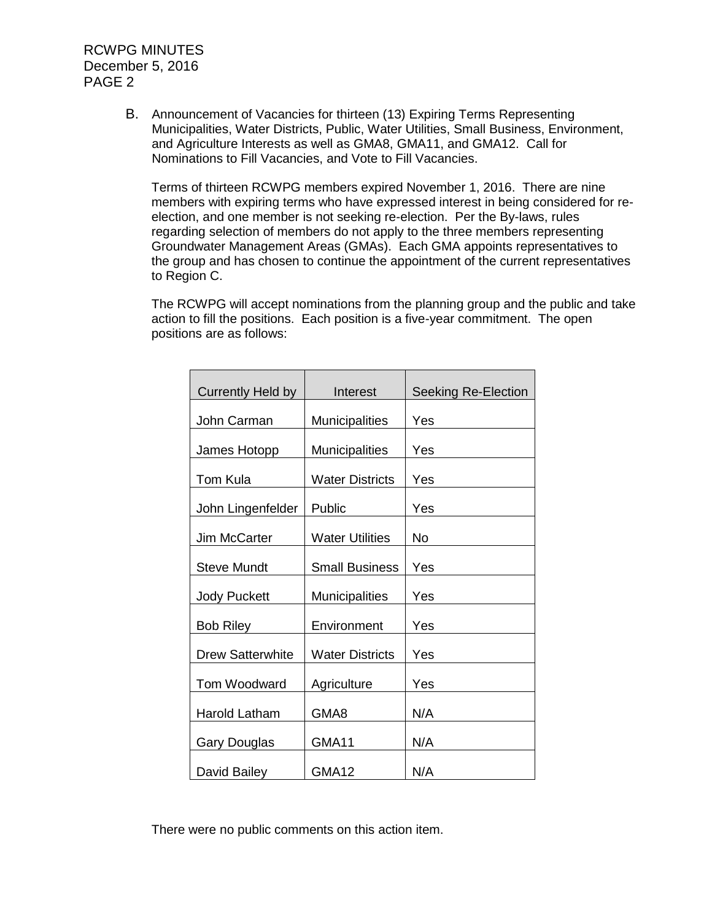RCWPG MINUTES December 5, 2016 PAGE 2

> B. Announcement of Vacancies for thirteen (13) Expiring Terms Representing Municipalities, Water Districts, Public, Water Utilities, Small Business, Environment, and Agriculture Interests as well as GMA8, GMA11, and GMA12. Call for Nominations to Fill Vacancies, and Vote to Fill Vacancies.

Terms of thirteen RCWPG members expired November 1, 2016. There are nine members with expiring terms who have expressed interest in being considered for reelection, and one member is not seeking re-election. Per the By-laws, rules regarding selection of members do not apply to the three members representing Groundwater Management Areas (GMAs). Each GMA appoints representatives to the group and has chosen to continue the appointment of the current representatives to Region C.

The RCWPG will accept nominations from the planning group and the public and take action to fill the positions. Each position is a five-year commitment. The open positions are as follows:

| <b>Currently Held by</b> | Interest               | Seeking Re-Election |
|--------------------------|------------------------|---------------------|
| John Carman              | <b>Municipalities</b>  | Yes                 |
| James Hotopp             | <b>Municipalities</b>  | Yes                 |
| Tom Kula                 | <b>Water Districts</b> | Yes                 |
| John Lingenfelder        | Public                 | Yes                 |
| Jim McCarter             | <b>Water Utilities</b> | No                  |
| <b>Steve Mundt</b>       | <b>Small Business</b>  | Yes                 |
| <b>Jody Puckett</b>      | <b>Municipalities</b>  | Yes                 |
| <b>Bob Riley</b>         | Environment            | Yes                 |
|                          |                        |                     |
| <b>Drew Satterwhite</b>  | <b>Water Districts</b> | Yes                 |
| Tom Woodward             | Agriculture            | Yes                 |
| <b>Harold Latham</b>     | GMA8                   | N/A                 |
| Gary Douglas             | GMA11                  | N/A                 |
| David Bailey             | GMA12                  | N/A                 |

There were no public comments on this action item.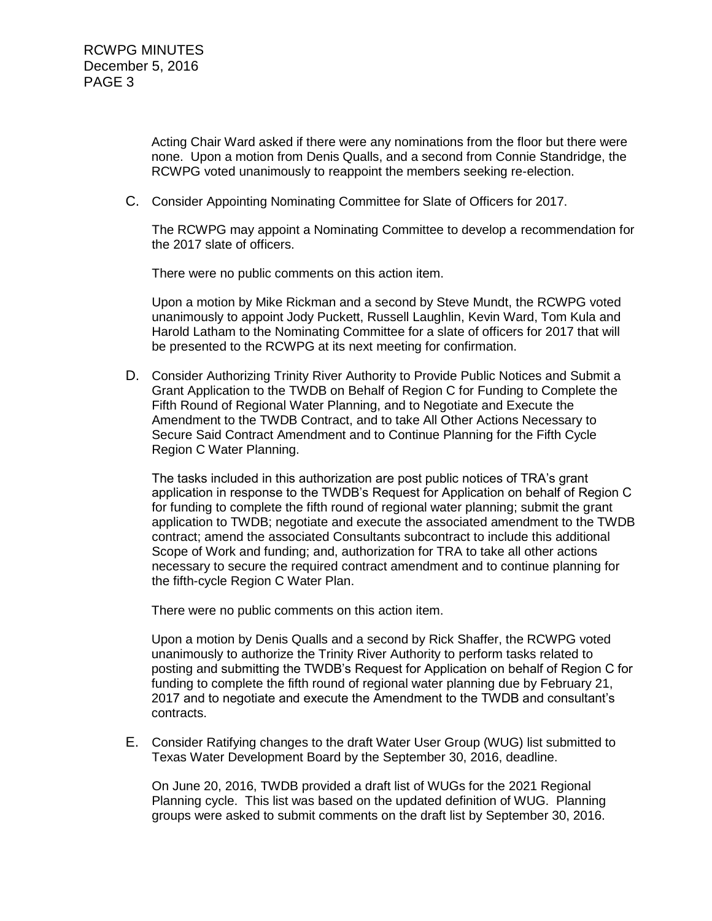Acting Chair Ward asked if there were any nominations from the floor but there were none. Upon a motion from Denis Qualls, and a second from Connie Standridge, the RCWPG voted unanimously to reappoint the members seeking re-election.

C. Consider Appointing Nominating Committee for Slate of Officers for 2017.

The RCWPG may appoint a Nominating Committee to develop a recommendation for the 2017 slate of officers.

There were no public comments on this action item.

Upon a motion by Mike Rickman and a second by Steve Mundt, the RCWPG voted unanimously to appoint Jody Puckett, Russell Laughlin, Kevin Ward, Tom Kula and Harold Latham to the Nominating Committee for a slate of officers for 2017 that will be presented to the RCWPG at its next meeting for confirmation.

D. Consider Authorizing Trinity River Authority to Provide Public Notices and Submit a Grant Application to the TWDB on Behalf of Region C for Funding to Complete the Fifth Round of Regional Water Planning, and to Negotiate and Execute the Amendment to the TWDB Contract, and to take All Other Actions Necessary to Secure Said Contract Amendment and to Continue Planning for the Fifth Cycle Region C Water Planning.

The tasks included in this authorization are post public notices of TRA's grant application in response to the TWDB's Request for Application on behalf of Region C for funding to complete the fifth round of regional water planning; submit the grant application to TWDB; negotiate and execute the associated amendment to the TWDB contract; amend the associated Consultants subcontract to include this additional Scope of Work and funding; and, authorization for TRA to take all other actions necessary to secure the required contract amendment and to continue planning for the fifth-cycle Region C Water Plan.

There were no public comments on this action item.

Upon a motion by Denis Qualls and a second by Rick Shaffer, the RCWPG voted unanimously to authorize the Trinity River Authority to perform tasks related to posting and submitting the TWDB's Request for Application on behalf of Region C for funding to complete the fifth round of regional water planning due by February 21, 2017 and to negotiate and execute the Amendment to the TWDB and consultant's contracts.

E. Consider Ratifying changes to the draft Water User Group (WUG) list submitted to Texas Water Development Board by the September 30, 2016, deadline.

On June 20, 2016, TWDB provided a draft list of WUGs for the 2021 Regional Planning cycle. This list was based on the updated definition of WUG. Planning groups were asked to submit comments on the draft list by September 30, 2016.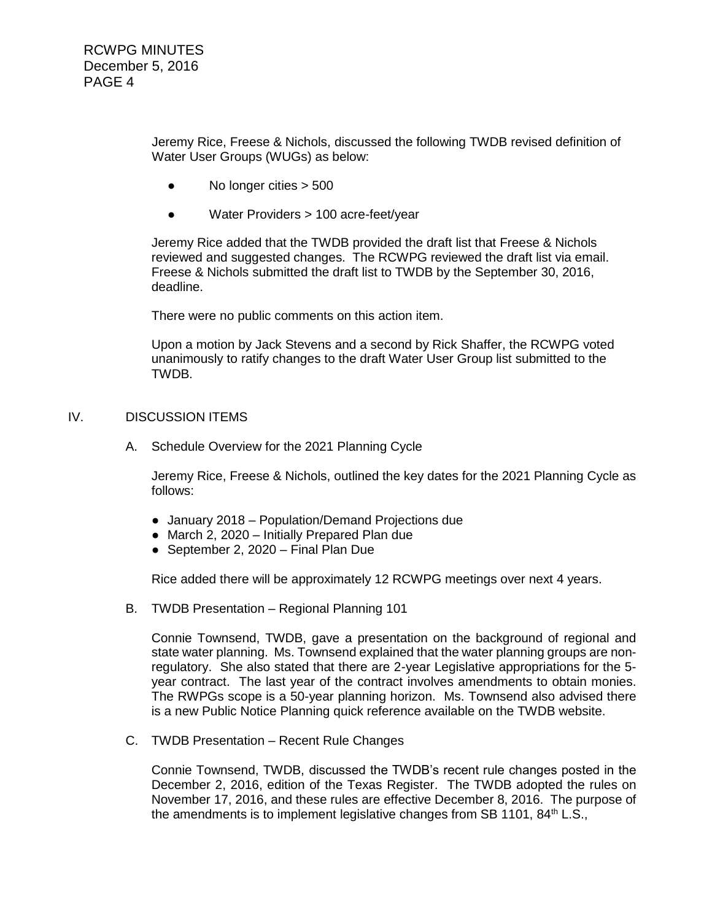Jeremy Rice, Freese & Nichols, discussed the following TWDB revised definition of Water User Groups (WUGs) as below:

- No longer cities > 500
- Water Providers > 100 acre-feet/year

Jeremy Rice added that the TWDB provided the draft list that Freese & Nichols reviewed and suggested changes. The RCWPG reviewed the draft list via email. Freese & Nichols submitted the draft list to TWDB by the September 30, 2016, deadline.

There were no public comments on this action item.

Upon a motion by Jack Stevens and a second by Rick Shaffer, the RCWPG voted unanimously to ratify changes to the draft Water User Group list submitted to the TWDB.

### IV. DISCUSSION ITEMS

A. Schedule Overview for the 2021 Planning Cycle

Jeremy Rice, Freese & Nichols, outlined the key dates for the 2021 Planning Cycle as follows:

- January 2018 Population/Demand Projections due
- March 2, 2020 Initially Prepared Plan due
- September 2, 2020 Final Plan Due

Rice added there will be approximately 12 RCWPG meetings over next 4 years.

B. TWDB Presentation – Regional Planning 101

Connie Townsend, TWDB, gave a presentation on the background of regional and state water planning. Ms. Townsend explained that the water planning groups are nonregulatory. She also stated that there are 2-year Legislative appropriations for the 5 year contract. The last year of the contract involves amendments to obtain monies. The RWPGs scope is a 50-year planning horizon. Ms. Townsend also advised there is a new Public Notice Planning quick reference available on the TWDB website.

C. TWDB Presentation – Recent Rule Changes

Connie Townsend, TWDB, discussed the TWDB's recent rule changes posted in the December 2, 2016, edition of the Texas Register. The TWDB adopted the rules on November 17, 2016, and these rules are effective December 8, 2016. The purpose of the amendments is to implement legislative changes from SB 1101,  $84<sup>th</sup>$  L.S.,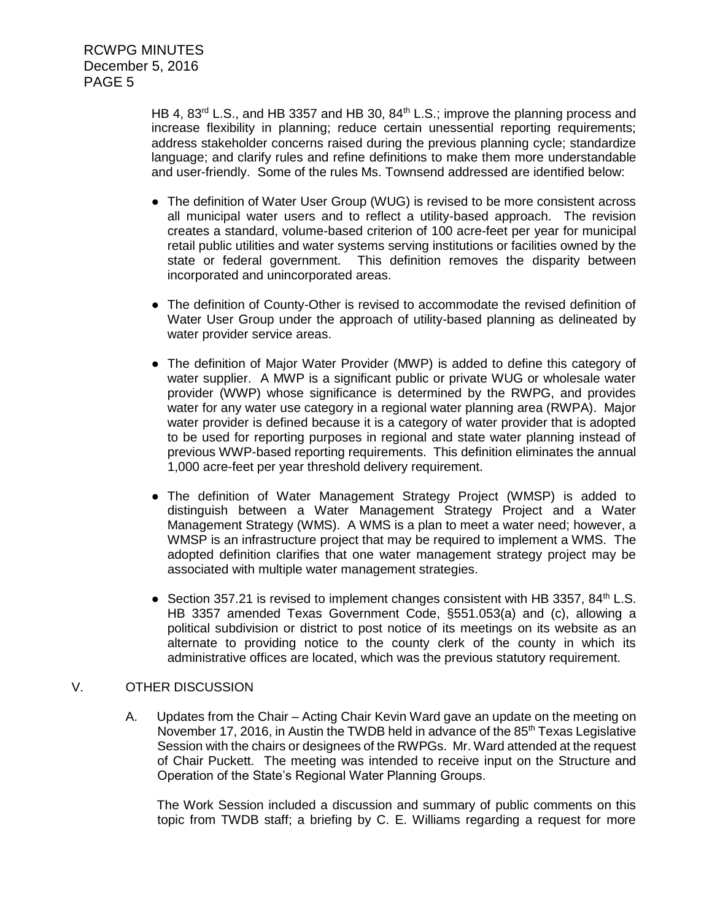HB 4, 83<sup>rd</sup> L.S., and HB 3357 and HB 30, 84<sup>th</sup> L.S.; improve the planning process and increase flexibility in planning; reduce certain unessential reporting requirements; address stakeholder concerns raised during the previous planning cycle; standardize language; and clarify rules and refine definitions to make them more understandable and user-friendly. Some of the rules Ms. Townsend addressed are identified below:

- The definition of Water User Group (WUG) is revised to be more consistent across all municipal water users and to reflect a utility-based approach. The revision creates a standard, volume-based criterion of 100 acre-feet per year for municipal retail public utilities and water systems serving institutions or facilities owned by the state or federal government. This definition removes the disparity between incorporated and unincorporated areas.
- The definition of County-Other is revised to accommodate the revised definition of Water User Group under the approach of utility-based planning as delineated by water provider service areas.
- The definition of Major Water Provider (MWP) is added to define this category of water supplier. A MWP is a significant public or private WUG or wholesale water provider (WWP) whose significance is determined by the RWPG, and provides water for any water use category in a regional water planning area (RWPA). Major water provider is defined because it is a category of water provider that is adopted to be used for reporting purposes in regional and state water planning instead of previous WWP-based reporting requirements. This definition eliminates the annual 1,000 acre-feet per year threshold delivery requirement.
- The definition of Water Management Strategy Project (WMSP) is added to distinguish between a Water Management Strategy Project and a Water Management Strategy (WMS). A WMS is a plan to meet a water need; however, a WMSP is an infrastructure project that may be required to implement a WMS. The adopted definition clarifies that one water management strategy project may be associated with multiple water management strategies.
- Section 357.21 is revised to implement changes consistent with HB 3357,  $84<sup>th</sup>$  L.S. HB 3357 amended Texas Government Code, §551.053(a) and (c), allowing a political subdivision or district to post notice of its meetings on its website as an alternate to providing notice to the county clerk of the county in which its administrative offices are located, which was the previous statutory requirement.

## V. OTHER DISCUSSION

A. Updates from the Chair – Acting Chair Kevin Ward gave an update on the meeting on November 17, 2016, in Austin the TWDB held in advance of the 85<sup>th</sup> Texas Legislative Session with the chairs or designees of the RWPGs. Mr. Ward attended at the request of Chair Puckett. The meeting was intended to receive input on the Structure and Operation of the State's Regional Water Planning Groups.

The Work Session included a discussion and summary of public comments on this topic from TWDB staff; a briefing by C. E. Williams regarding a request for more